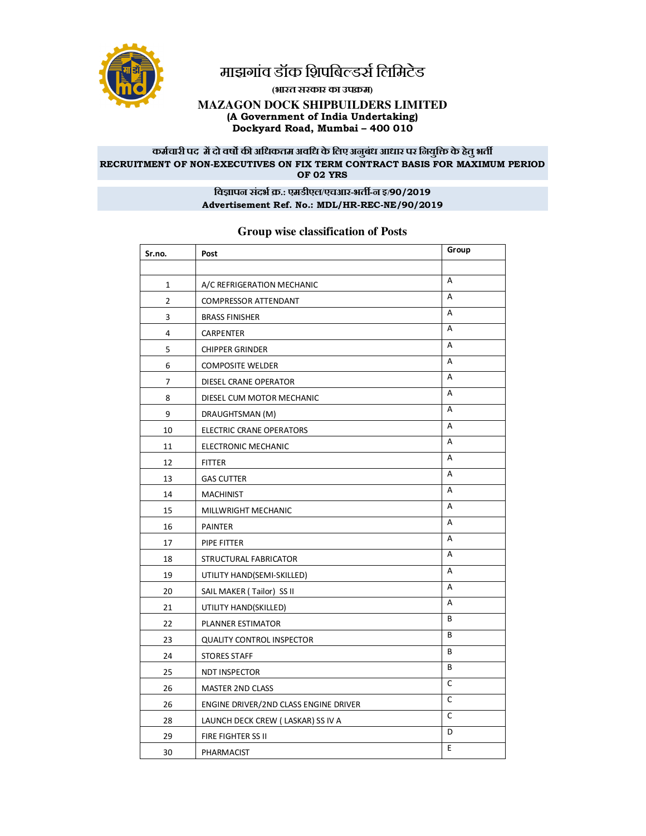

## माझगांव डॉक 9िापबिल्डर्स लिमिटेड

**(भारत सरकार का उपम)** 

## **MAZAGON DOCK SHIPBUILDERS LIMITED (A Government of India Undertaking) Dockyard Road, Mumbai – 400 010**

#### कर्मचारी पद में दो वर्षो की अधिकतम अवधि के लिए अनुबंध आधार पर नियुक्ति के हेतु भर्ती **RECRUITMENT OF NON-EXECUTIVES ON FIX TERM CONTRACT BASIS FOR MAXIMUM PERIOD OF 02 YRS**

## **िव'ापन संदभ .: एमडीएल/एचआर-भत&-न इ/90/2019 Advertisement Ref. No.: MDL/HR-REC-NE/90/2019**

## **Sr.no. Post Group** 1 A/C REFRIGERATION MECHANIC A REFAIRS AND A 2 COMPRESSOR ATTENDANT 3 BRASS FINISHER A 4 CARPENTER A 5 CHIPPER GRINDER A 6 COMPOSITE WELDER A 7 DIESEL CRANE OPERATOR 8 DIESEL CUM MOTOR MECHANIC A 9 DRAUGHTSMAN (M) A 10 ELECTRIC CRANE OPERATORS A 11 ELECTRONIC MECHANIC **A** 12 FITTER A 13 GAS CUTTER A 14 MACHINIST A 15 MILLWRIGHT MECHANIC AND A 16 PAINTER A 17 PIPE FITTER A 18 STRUCTURAL FABRICATOR AND A 19 UTILITY HAND(SEMI-SKILLED) A 20 SAIL MAKER ( Tailor) SS II A 21 UTILITY HAND(SKILLED) A 22 PLANNER ESTIMATOR 23 QUALITY CONTROL INSPECTOR **B** 24 STORES STAFF B 25 NDT INSPECTOR B 26 MASTER 2ND CLASS 26 ENGINE DRIVER/2ND CLASS ENGINE DRIVER 28 LAUNCH DECK CREW (LASKAR) SS IV A C 29 | FIRE FIGHTER SS II 30 PHARMACIST E

## **Group wise classification of Posts**